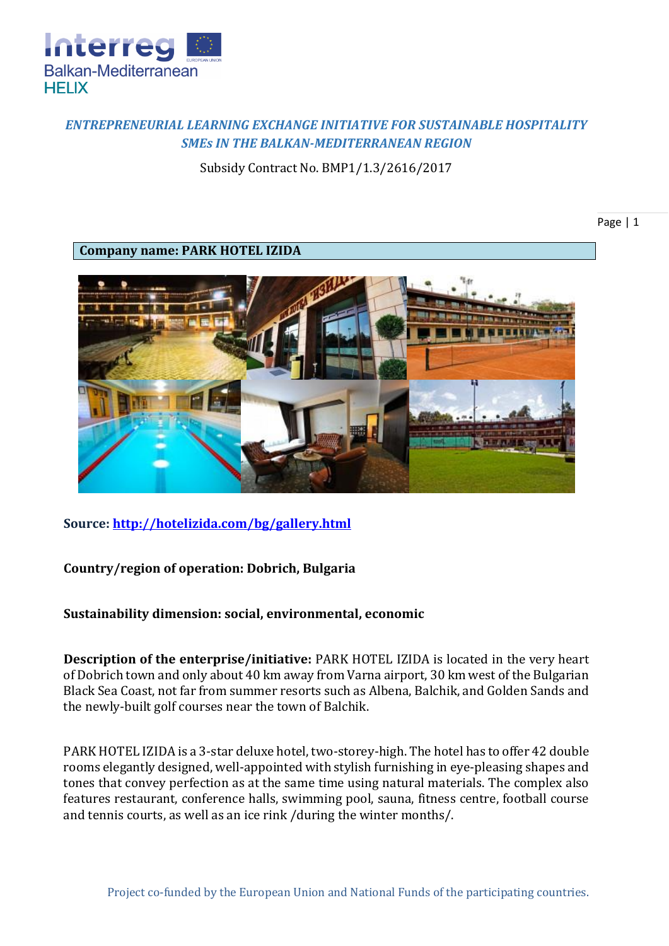

## *ENTREPRENEURIAL LEARNING EXCHANGE INITIATIVE FOR SUSTAINABLE HOSPITALITY SMEs IN THE BALKAN-MEDITERRANEAN REGION*

Subsidy Contract No. BMP1/1.3/2616/2017

**Company name: PARK HOTEL IZIDA**



**Source:<http://hotelizida.com/bg/gallery.html>**

**Country/region of operation: Dobrich, Bulgaria**

**Sustainability dimension: social, environmental, economic**

**Description of the enterprise/initiative:** PARK HOTEL IZIDA is located in the very heart of Dobrich town and only about 40 km away from Varna airport, 30 km west of the Bulgarian Black Sea Coast, not far from summer resorts such as Albena, Balchik, and Golden Sands and the newly-built golf courses near the town of Balchik.

PARK HOTEL IZIDA is a 3-star deluxe hotel, two-storey-high. The hotel has to offer 42 double rooms elegantly designed, well-appointed with stylish furnishing in eye-pleasing shapes and tones that convey perfection as at the same time using natural materials. The complex also features restaurant, conference halls, swimming pool, sauna, fitness centre, football course and tennis courts, as well as an ice rink /during the winter months/.

Page | 1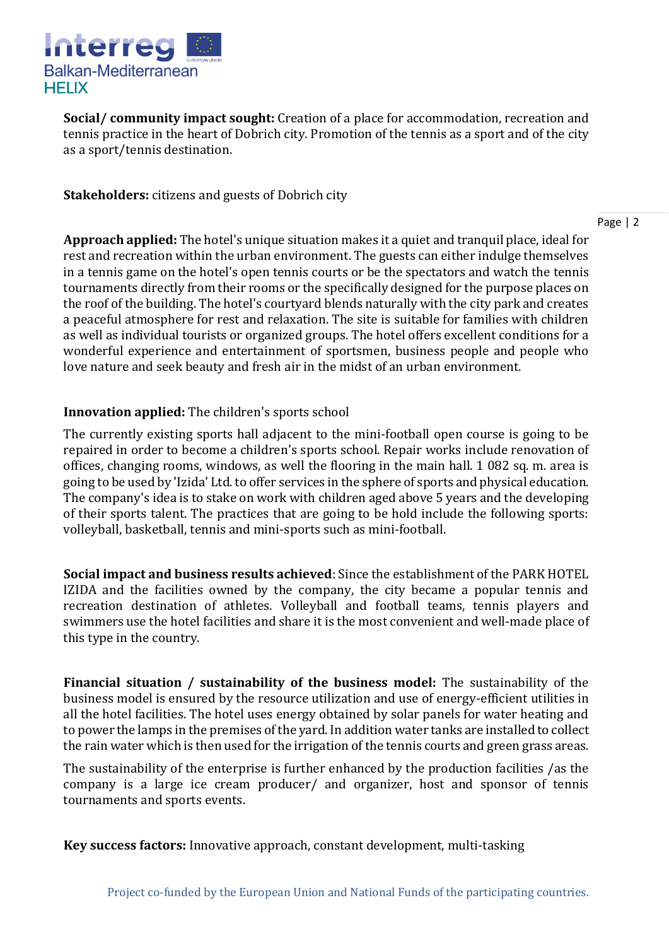

**Social/ community impact sought:** Creation of a place for accommodation, recreation and tennis practice in the heart of Dobrich city. Promotion of the tennis as a sport and of the city as a sport/tennis destination.

**Stakeholders:** citizens and guests of Dobrich city

Page | 2

**Approach applied:** The hotel's unique situation makes it a quiet and tranquil place, ideal for rest and recreation within the urban environment. The guests can either indulge themselves in a tennis game on the hotel's open tennis courts or be the spectators and watch the tennis tournaments directly from their rooms or the specifically designed for the purpose places on the roof of the building. The hotel's courtyard blends naturally with the city park and creates a peaceful atmosphere for rest and relaxation. The site is suitable for families with children as well as individual tourists or organized groups. The hotel offers excellent conditions for a wonderful experience and entertainment of sportsmen, business people and people who love nature and seek beauty and fresh air in the midst of an urban environment.

## **Innovation applied:** The children's sports school

The currently existing sports hall adjacent to the mini-football open course is going to be repaired in order to become a children's sports school. Repair works include renovation of offices, changing rooms, windows, as well the flooring in the main hall, 1082 sq. m. area is going to be used by 'Izida' Ltd. to offer services in the sphere of sports and physical education. The company's idea is to stake on work with children aged above 5 years and the developing of their sports talent. The practices that are going to be hold include the following sports: volleyball, basketball, tennis and mini-sports such as mini-football.

**Social impact and business results achieved**: Since the establishment of the PARK HOTEL IZIDA and the facilities owned by the company, the city became a popular tennis and recreation destination of athletes. Volleyball and football teams, tennis players and swimmers use the hotel facilities and share it is the most convenient and well-made place of this type in the country.

**Financial situation / sustainability of the business model:** The sustainability of the business model is ensured by the resource utilization and use of energy-efficient utilities in all the hotel facilities. The hotel uses energy obtained by solar panels for water heating and to power the lamps in the premises of the yard. In addition water tanks are installed to collect the rain water which is then used for the irrigation of the tennis courts and green grass areas.

The sustainability of the enterprise is further enhanced by the production facilities /as the company is a large ice cream producer/ and organizer, host and sponsor of tennis tournaments and sports events.

**Key success factors:** Innovative approach, constant development, multi-tasking